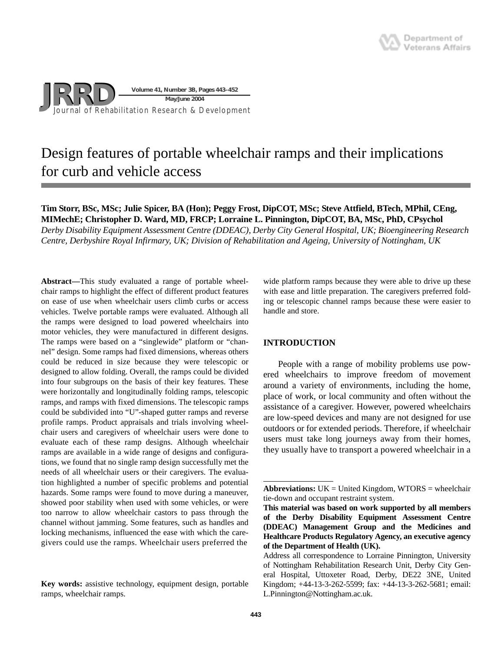

# Design features of portable wheelchair ramps and their implications for curb and vehicle access

# **Tim Storr, BSc, MSc; Julie Spicer, BA (Hon); Peggy Frost, DipCOT, MSc; Steve Attfield, BTech, MPhil, CEng, MIMechE; Christopher D. Ward, MD, FRCP; Lorraine L. Pinnington, DipCOT, BA, MSc, PhD, CPsychol**

*Derby Disability Equipment Assessment Centre (DDEAC), Derby City General Hospital, UK; Bioengineering Research Centre, Derbyshire Royal Infirmary, UK; Division of Rehabilitation and Ageing, University of Nottingham, UK*

**Abstract—**This study evaluated a range of portable wheelchair ramps to highlight the effect of different product features on ease of use when wheelchair users climb curbs or access vehicles. Twelve portable ramps were evaluated. Although all the ramps were designed to load powered wheelchairs into motor vehicles, they were manufactured in different designs. The ramps were based on a "singlewide" platform or "channel" design. Some ramps had fixed dimensions, whereas others could be reduced in size because they were telescopic or designed to allow folding. Overall, the ramps could be divided into four subgroups on the basis of their key features. These were horizontally and longitudinally folding ramps, telescopic ramps, and ramps with fixed dimensions. The telescopic ramps could be subdivided into "U"-shaped gutter ramps and reverse profile ramps. Product appraisals and trials involving wheelchair users and caregivers of wheelchair users were done to evaluate each of these ramp designs. Although wheelchair ramps are available in a wide range of designs and configurations, we found that no single ramp design successfully met the needs of all wheelchair users or their caregivers. The evaluation highlighted a number of specific problems and potential hazards. Some ramps were found to move during a maneuver, showed poor stability when used with some vehicles, or were too narrow to allow wheelchair castors to pass through the channel without jamming. Some features, such as handles and locking mechanisms, influenced the ease with which the caregivers could use the ramps. Wheelchair users preferred the

wide platform ramps because they were able to drive up these with ease and little preparation. The caregivers preferred folding or telescopic channel ramps because these were easier to handle and store.

# **INTRODUCTION**

People with a range of mobility problems use powered wheelchairs to improve freedom of movement around a variety of environments, including the home, place of work, or local community and often without the assistance of a caregiver. However, powered wheelchairs are low-speed devices and many are not designed for use outdoors or for extended periods. Therefore, if wheelchair users must take long journeys away from their homes, they usually have to transport a powered wheelchair in a

**Key words:** assistive technology, equipment design, portable ramps, wheelchair ramps.

**Abbreviations:** UK = United Kingdom, WTORS = wheelchair tie-down and occupant restraint system.

**This material was based on work supported by all members of the Derby Disability Equipment Assessment Centre (DDEAC) Management Group and the Medicines and Healthcare Products Regulatory Agency, an executive agency of the Department of Health (UK).**

Address all correspondence to Lorraine Pinnington, University of Nottingham Rehabilitation Research Unit, Derby City General Hospital, Uttoxeter Road, Derby, DE22 3NE, United Kingdom; +44-13-3-262-5599; fax: +44-13-3-262-5681; email: L.Pinnington@Nottingham.ac.uk.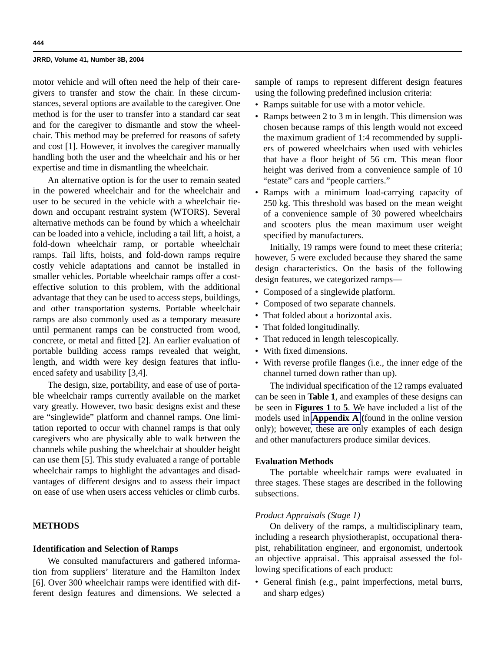motor vehicle and will often need the help of their caregivers to transfer and stow the chair. In these circumstances, several options are available to the caregiver. One method is for the user to transfer into a standard car seat and for the caregiver to dismantle and stow the wheelchair. This method may be preferred for reasons of safety and cost [1]. However, it involves the caregiver manually handling both the user and the wheelchair and his or her expertise and time in dismantling the wheelchair.

An alternative option is for the user to remain seated in the powered wheelchair and for the wheelchair and user to be secured in the vehicle with a wheelchair tiedown and occupant restraint system (WTORS). Several alternative methods can be found by which a wheelchair can be loaded into a vehicle, including a tail lift, a hoist, a fold-down wheelchair ramp, or portable wheelchair ramps. Tail lifts, hoists, and fold-down ramps require costly vehicle adaptations and cannot be installed in smaller vehicles. Portable wheelchair ramps offer a costeffective solution to this problem, with the additional advantage that they can be used to access steps, buildings, and other transportation systems. Portable wheelchair ramps are also commonly used as a temporary measure until permanent ramps can be constructed from wood, concrete, or metal and fitted [2]. An earlier evaluation of portable building access ramps revealed that weight, length, and width were key design features that influenced safety and usability [3,4].

The design, size, portability, and ease of use of portable wheelchair ramps currently available on the market vary greatly. However, two basic designs exist and these are "singlewide" platform and channel ramps. One limitation reported to occur with channel ramps is that only caregivers who are physically able to walk between the channels while pushing the wheelchair at shoulder height can use them [5]. This study evaluated a range of portable wheelchair ramps to highlight the advantages and disadvantages of different designs and to assess their impact on ease of use when users access vehicles or climb curbs.

# **METHODS**

## **Identification and Selection of Ramps**

We consulted manufacturers and gathered information from suppliers' literature and the Hamilton Index [6]. Over 300 wheelchair ramps were identified with different design features and dimensions. We selected a sample of ramps to represent different design features using the following predefined inclusion criteria:

- Ramps suitable for use with a motor vehicle.
- Ramps between 2 to 3 m in length. This dimension was chosen because ramps of this length would not exceed the maximum gradient of 1:4 recommended by suppliers of powered wheelchairs when used with vehicles that have a floor height of 56 cm. This mean floor height was derived from a convenience sample of 10 "estate" cars and "people carriers."
- Ramps with a minimum load-carrying capacity of 250 kg. This threshold was based on the mean weight of a convenience sample of 30 powered wheelchairs and scooters plus the mean maximum user weight specified by manufacturers.

Initially, 19 ramps were found to meet these criteria; however, 5 were excluded because they shared the same design characteristics. On the basis of the following design features, we categorized ramps—

- Composed of a singlewide platform.
- Composed of two separate channels.
- That folded about a horizontal axis.
- That folded longitudinally.
- That reduced in length telescopically.
- With fixed dimensions.
- With reverse profile flanges (i.e., the inner edge of the channel turned down rather than up).

The individual specification of the 12 ramps evaluated can be seen in **Table 1**, and examples of these designs can be seen in **Figures 1** to **5**. We have included a list of the models used in **Appendix A (**found in the online version only); however, these are only examples of each design and other manufacturers produce similar devices.

# **Evaluation Methods**

The portable wheelchair ramps were evaluated in three stages. These stages are described in the following subsections.

# *Product Appraisals (Stage 1)*

On delivery of the ramps, a multidisciplinary team, including a research physiotherapist, occupational therapist, rehabilitation engineer, and ergonomist, undertook an objective appraisal. This appraisal assessed the following specifications of each product:

• General finish (e.g., paint imperfections, metal burrs, and sharp edges)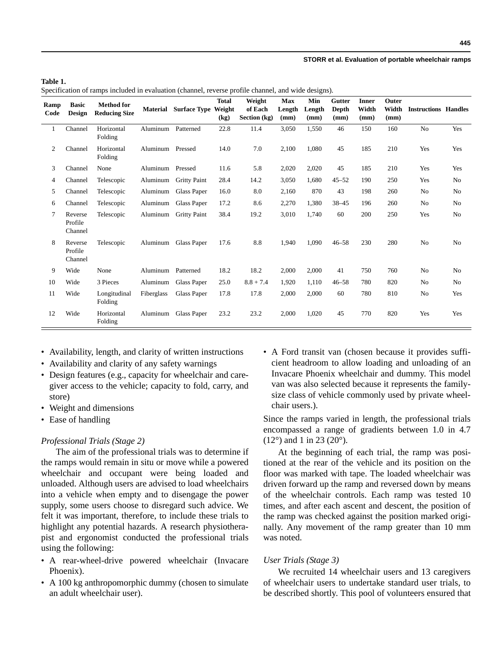#### **STORR et al. Evaluation of portable wheelchair ramps**

|  |  |  |  | Specification of ramps included in evaluation (channel, reverse profile channel, and wide designs). |  |  |  |  |  |  |  |  |
|--|--|--|--|-----------------------------------------------------------------------------------------------------|--|--|--|--|--|--|--|--|
|--|--|--|--|-----------------------------------------------------------------------------------------------------|--|--|--|--|--|--|--|--|

| Ramp<br>Code | <b>Basic</b><br><b>Design</b> | <b>Method for</b><br><b>Reducing Size</b> | <b>Material</b> | <b>Surface Type</b> | <b>Total</b><br>Weight<br>(kg) | Weight<br>of Each<br>Section (kg) | Max<br>Length<br>(mm) | Min<br>Length<br>(mm) | Gutter<br>Depth<br>(mm) | <b>Inner</b><br>Width<br>(mm) | Outer<br>Width<br>(mm) | <b>Instructions Handles</b> |                |
|--------------|-------------------------------|-------------------------------------------|-----------------|---------------------|--------------------------------|-----------------------------------|-----------------------|-----------------------|-------------------------|-------------------------------|------------------------|-----------------------------|----------------|
| 1            | Channel                       | Horizontal<br>Folding                     | Aluminum        | Patterned           | 22.8                           | 11.4                              | 3,050                 | 1,550                 | 46                      | 150                           | 160                    | No                          | Yes            |
| 2            | Channel                       | Horizontal<br>Folding                     | Aluminum        | Pressed             | 14.0                           | 7.0                               | 2,100                 | 1,080                 | 45                      | 185                           | 210                    | Yes                         | Yes            |
| 3            | Channel                       | None                                      | Aluminum        | Pressed             | 11.6                           | 5.8                               | 2,020                 | 2,020                 | 45                      | 185                           | 210                    | Yes                         | Yes            |
| 4            | Channel                       | Telescopic                                | Aluminum        | <b>Gritty Paint</b> | 28.4                           | 14.2                              | 3,050                 | 1,680                 | $45 - 52$               | 190                           | 250                    | Yes                         | N <sub>0</sub> |
| 5            | Channel                       | Telescopic                                | Aluminum        | Glass Paper         | 16.0                           | 8.0                               | 2,160                 | 870                   | 43                      | 198                           | 260                    | N <sub>o</sub>              | N <sub>0</sub> |
| 6            | Channel                       | Telescopic                                | Aluminum        | Glass Paper         | 17.2                           | 8.6                               | 2,270                 | 1,380                 | $38 - 45$               | 196                           | 260                    | N <sub>o</sub>              | No             |
| 7            | Reverse<br>Profile<br>Channel | Telescopic                                | Aluminum        | <b>Gritty Paint</b> | 38.4                           | 19.2                              | 3,010                 | 1.740                 | 60                      | 200                           | 250                    | Yes                         | N <sub>0</sub> |
| 8            | Reverse<br>Profile<br>Channel | Telescopic                                | Aluminum        | <b>Glass Paper</b>  | 17.6                           | 8.8                               | 1,940                 | 1,090                 | $46 - 58$               | 230                           | 280                    | N <sub>o</sub>              | N <sub>0</sub> |
| 9            | Wide                          | None                                      | Aluminum        | Patterned           | 18.2                           | 18.2                              | 2,000                 | 2,000                 | 41                      | 750                           | 760                    | N <sub>0</sub>              | N <sub>0</sub> |
| 10           | Wide                          | 3 Pieces                                  | Aluminum        | Glass Paper         | 25.0                           | $8.8 + 7.4$                       | 1,920                 | 1,110                 | $46 - 58$               | 780                           | 820                    | N <sub>0</sub>              | N <sub>0</sub> |
| 11           | Wide                          | Longitudinal<br>Folding                   | Fiberglass      | Glass Paper         | 17.8                           | 17.8                              | 2,000                 | 2,000                 | 60                      | 780                           | 810                    | N <sub>0</sub>              | Yes            |
| 12           | Wide                          | Horizontal<br>Folding                     | Aluminum        | Glass Paper         | 23.2                           | 23.2                              | 2,000                 | 1.020                 | 45                      | 770                           | 820                    | Yes                         | Yes            |

- Availability, length, and clarity of written instructions
- Availability and clarity of any safety warnings
- Design features (e.g., capacity for wheelchair and caregiver access to the vehicle; capacity to fold, carry, and store)
- Weight and dimensions
- Ease of handling

## *Professional Trials (Stage 2)*

The aim of the professional trials was to determine if the ramps would remain in situ or move while a powered wheelchair and occupant were being loaded and unloaded. Although users are advised to load wheelchairs into a vehicle when empty and to disengage the power supply, some users choose to disregard such advice. We felt it was important, therefore, to include these trials to highlight any potential hazards. A research physiotherapist and ergonomist conducted the professional trials using the following:

- A rear-wheel-drive powered wheelchair (Invacare Phoenix).
- A 100 kg anthropomorphic dummy (chosen to simulate an adult wheelchair user).

• A Ford transit van (chosen because it provides sufficient headroom to allow loading and unloading of an Invacare Phoenix wheelchair and dummy. This model van was also selected because it represents the familysize class of vehicle commonly used by private wheelchair users.).

Since the ramps varied in length, the professional trials encompassed a range of gradients between 1.0 in 4.7  $(12^{\circ})$  and 1 in 23  $(20^{\circ})$ .

At the beginning of each trial, the ramp was positioned at the rear of the vehicle and its position on the floor was marked with tape. The loaded wheelchair was driven forward up the ramp and reversed down by means of the wheelchair controls. Each ramp was tested 10 times, and after each ascent and descent, the position of the ramp was checked against the position marked originally. Any movement of the ramp greater than 10 mm was noted.

# *User Trials (Stage 3)*

We recruited 14 wheelchair users and 13 caregivers of wheelchair users to undertake standard user trials, to be described shortly. This pool of volunteers ensured that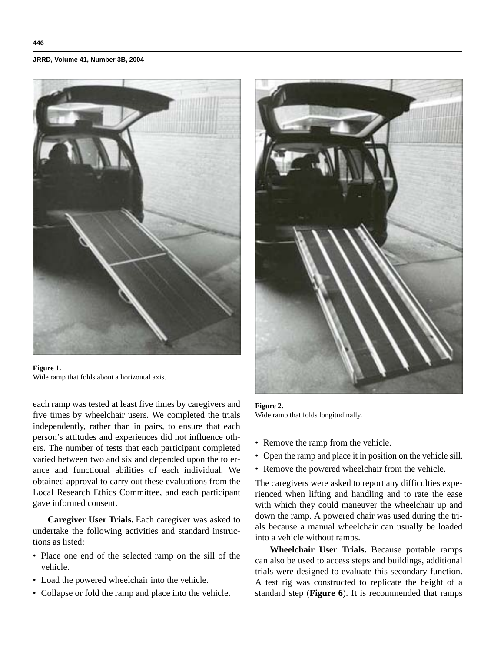

**Figure 1.** Wide ramp that folds about a horizontal axis.

each ramp was tested at least five times by caregivers and five times by wheelchair users. We completed the trials independently, rather than in pairs, to ensure that each person's attitudes and experiences did not influence others. The number of tests that each participant completed varied between two and six and depended upon the tolerance and functional abilities of each individual. We obtained approval to carry out these evaluations from the Local Research Ethics Committee, and each participant gave informed consent.

**Caregiver User Trials.** Each caregiver was asked to undertake the following activities and standard instructions as listed:

- Place one end of the selected ramp on the sill of the vehicle.
- Load the powered wheelchair into the vehicle.
- Collapse or fold the ramp and place into the vehicle.



## **Figure 2.** Wide ramp that folds longitudinally.

- Remove the ramp from the vehicle.
- Open the ramp and place it in position on the vehicle sill.
- Remove the powered wheelchair from the vehicle.

The caregivers were asked to report any difficulties experienced when lifting and handling and to rate the ease with which they could maneuver the wheelchair up and down the ramp. A powered chair was used during the trials because a manual wheelchair can usually be loaded into a vehicle without ramps.

**Wheelchair User Trials.** Because portable ramps can also be used to access steps and buildings, additional trials were designed to evaluate this secondary function. A test rig was constructed to replicate the height of a standard step (**Figure 6**). It is recommended that ramps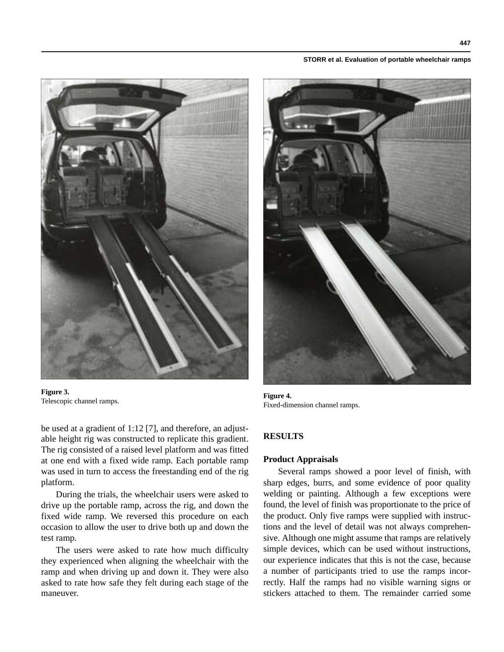#### **STORR et al. Evaluation of portable wheelchair ramps**



**Figure 3.** Figure 3. **Figure 4. Figure 4. Figure 4. Figure 4. Figure 4. Figure 4. Figure 4.** 

be used at a gradient of 1:12 [7], and therefore, an adjustable height rig was constructed to replicate this gradient. The rig consisted of a raised level platform and was fitted at one end with a fixed wide ramp. Each portable ramp was used in turn to access the freestanding end of the rig platform.

During the trials, the wheelchair users were asked to drive up the portable ramp, across the rig, and down the fixed wide ramp. We reversed this procedure on each occasion to allow the user to drive both up and down the test ramp.

The users were asked to rate how much difficulty they experienced when aligning the wheelchair with the ramp and when driving up and down it. They were also asked to rate how safe they felt during each stage of the maneuver.



Fixed-dimension channel ramps.

# **RESULTS**

# **Product Appraisals**

Several ramps showed a poor level of finish, with sharp edges, burrs, and some evidence of poor quality welding or painting. Although a few exceptions were found, the level of finish was proportionate to the price of the product. Only five ramps were supplied with instructions and the level of detail was not always comprehensive. Although one might assume that ramps are relatively simple devices, which can be used without instructions, our experience indicates that this is not the case, because a number of participants tried to use the ramps incorrectly. Half the ramps had no visible warning signs or stickers attached to them. The remainder carried some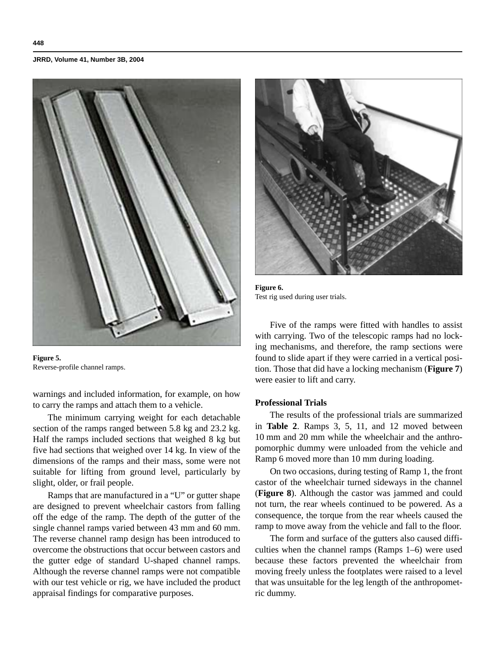

**Figure 5.** Reverse-profile channel ramps.

warnings and included information, for example, on how to carry the ramps and attach them to a vehicle.

The minimum carrying weight for each detachable section of the ramps ranged between 5.8 kg and 23.2 kg. Half the ramps included sections that weighed 8 kg but five had sections that weighed over 14 kg. In view of the dimensions of the ramps and their mass, some were not suitable for lifting from ground level, particularly by slight, older, or frail people.

Ramps that are manufactured in a "U" or gutter shape are designed to prevent wheelchair castors from falling off the edge of the ramp. The depth of the gutter of the single channel ramps varied between 43 mm and 60 mm. The reverse channel ramp design has been introduced to overcome the obstructions that occur between castors and the gutter edge of standard U-shaped channel ramps. Although the reverse channel ramps were not compatible with our test vehicle or rig, we have included the product appraisal findings for comparative purposes.



**Figure 6.** Test rig used during user trials.

Five of the ramps were fitted with handles to assist with carrying. Two of the telescopic ramps had no locking mechanisms, and therefore, the ramp sections were found to slide apart if they were carried in a vertical position. Those that did have a locking mechanism (**Figure 7**) were easier to lift and carry.

# **Professional Trials**

The results of the professional trials are summarized in **Table 2**. Ramps 3, 5, 11, and 12 moved between 10 mm and 20 mm while the wheelchair and the anthropomorphic dummy were unloaded from the vehicle and Ramp 6 moved more than 10 mm during loading.

On two occasions, during testing of Ramp 1, the front castor of the wheelchair turned sideways in the channel (**Figure 8**). Although the castor was jammed and could not turn, the rear wheels continued to be powered. As a consequence, the torque from the rear wheels caused the ramp to move away from the vehicle and fall to the floor.

The form and surface of the gutters also caused difficulties when the channel ramps (Ramps 1–6) were used because these factors prevented the wheelchair from moving freely unless the footplates were raised to a level that was unsuitable for the leg length of the anthropometric dummy.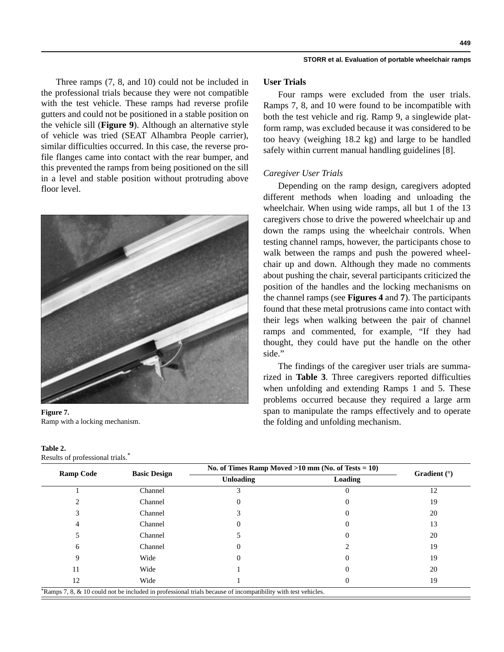Three ramps (7, 8, and 10) could not be included in the professional trials because they were not compatible with the test vehicle. These ramps had reverse profile gutters and could not be positioned in a stable position on the vehicle sill (**Figure 9**). Although an alternative style of vehicle was tried (SEAT Alhambra People carrier), similar difficulties occurred. In this case, the reverse profile flanges came into contact with the rear bumper, and this prevented the ramps from being positioned on the sill in a level and stable position without protruding above floor level.



**Figure 7.** Ramp with a locking mechanism.

| Table 2.                        |   |
|---------------------------------|---|
| Results of professional trials. | * |

## **User Trials**

Four ramps were excluded from the user trials. Ramps 7, 8, and 10 were found to be incompatible with both the test vehicle and rig. Ramp 9, a singlewide platform ramp, was excluded because it was considered to be too heavy (weighing 18.2 kg) and large to be handled safely within current manual handling guidelines [8].

# *Caregiver User Trials*

Depending on the ramp design, caregivers adopted different methods when loading and unloading the wheelchair. When using wide ramps, all but 1 of the 13 caregivers chose to drive the powered wheelchair up and down the ramps using the wheelchair controls. When testing channel ramps, however, the participants chose to walk between the ramps and push the powered wheelchair up and down. Although they made no comments about pushing the chair, several participants criticized the position of the handles and the locking mechanisms on the channel ramps (see **Figures 4** and **7**). The participants found that these metal protrusions came into contact with their legs when walking between the pair of channel ramps and commented, for example, "If they had thought, they could have put the handle on the other side."

The findings of the caregiver user trials are summarized in **Table 3**. Three caregivers reported difficulties when unfolding and extending Ramps 1 and 5. These problems occurred because they required a large arm span to manipulate the ramps effectively and to operate the folding and unfolding mechanism.

|                  |                     | No. of Times Ramp Moved $>10$ mm (No. of Tests = 10) |         |                |  |
|------------------|---------------------|------------------------------------------------------|---------|----------------|--|
| <b>Ramp Code</b> | <b>Basic Design</b> | <b>Unloading</b>                                     | Loading | Gradient $(°)$ |  |
|                  | Channel             |                                                      |         | 12             |  |
|                  | Channel             |                                                      |         | 19             |  |
|                  | Channel             |                                                      |         | 20             |  |
|                  | Channel             |                                                      |         | 13             |  |
|                  | Channel             |                                                      |         | 20             |  |
| 6                | Channel             |                                                      |         | 19             |  |
|                  | Wide                |                                                      |         | 19             |  |
| 11               | Wide                |                                                      |         | 20             |  |
| 12               | Wide                |                                                      |         | 19             |  |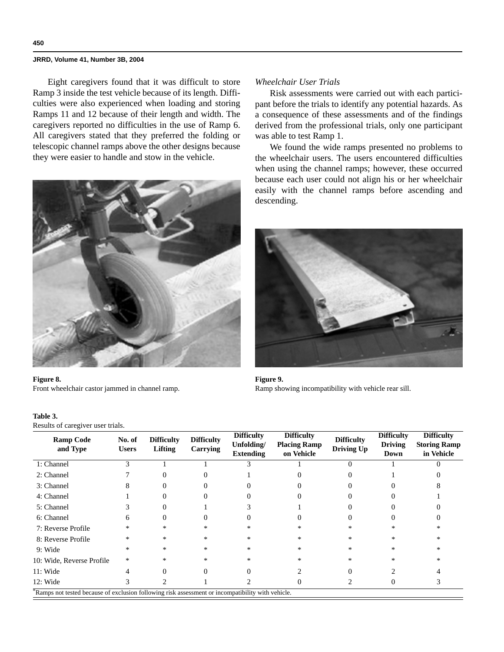Eight caregivers found that it was difficult to store Ramp 3 inside the test vehicle because of its length. Difficulties were also experienced when loading and storing Ramps 11 and 12 because of their length and width. The caregivers reported no difficulties in the use of Ramp 6. All caregivers stated that they preferred the folding or telescopic channel ramps above the other designs because they were easier to handle and stow in the vehicle.



#### **Figure 8.**

Front wheelchair castor jammed in channel ramp.

#### **Table 3.**

Results of caregiver user trials.

# *Wheelchair User Trials*

Risk assessments were carried out with each participant before the trials to identify any potential hazards. As a consequence of these assessments and of the findings derived from the professional trials, only one participant was able to test Ramp 1.

We found the wide ramps presented no problems to the wheelchair users. The users encountered difficulties when using the channel ramps; however, these occurred because each user could not align his or her wheelchair easily with the channel ramps before ascending and descending.



**Figure 9.** Ramp showing incompatibility with vehicle rear sill.

| <b>Ramp Code</b><br>and Type | No. of<br><b>Users</b> | <b>Difficulty</b><br>Lifting | <b>Difficulty</b><br>Carrying | <b>Difficulty</b><br>Unfolding/<br><b>Extending</b> | <b>Difficulty</b><br><b>Placing Ramp</b><br>on Vehicle | <b>Difficulty</b><br><b>Driving Up</b> | <b>Difficulty</b><br><b>Driving</b><br>Down | <b>Difficulty</b><br><b>Storing Ramp</b><br>in Vehicle |
|------------------------------|------------------------|------------------------------|-------------------------------|-----------------------------------------------------|--------------------------------------------------------|----------------------------------------|---------------------------------------------|--------------------------------------------------------|
| 1: Channel                   | 3                      |                              |                               | 3                                                   |                                                        | 0                                      |                                             |                                                        |
| 2: Channel                   |                        |                              |                               |                                                     |                                                        |                                        |                                             |                                                        |
| 3: Channel                   | x                      |                              |                               |                                                     |                                                        |                                        |                                             |                                                        |
| 4: Channel                   |                        |                              |                               |                                                     |                                                        |                                        |                                             |                                                        |
| 5: Channel                   |                        |                              |                               |                                                     |                                                        |                                        |                                             |                                                        |
| 6: Channel                   | 6                      |                              |                               |                                                     | $\mathbf{0}$                                           |                                        |                                             |                                                        |
| 7: Reverse Profile           | *                      | $*$                          | *                             | ∗                                                   | *                                                      | *                                      | $\ast$                                      | ×                                                      |
| 8: Reverse Profile           | *                      | $*$                          | *                             | *                                                   | *                                                      | *                                      | *                                           | ×                                                      |
| 9: Wide                      | *                      | *                            | *                             | $\ast$                                              | *                                                      | *                                      | *                                           | $\ast$                                                 |
| 10: Wide, Reverse Profile    | $\ast$                 | $\ast$                       | *                             | $\ast$                                              | *                                                      | $\ast$                                 | $\ast$                                      | $\ast$                                                 |
| $11:$ Wide                   | 4                      | 0                            |                               |                                                     |                                                        | 0                                      |                                             |                                                        |
| $12:$ Wide                   | ำ                      |                              |                               |                                                     | $\theta$                                               |                                        |                                             |                                                        |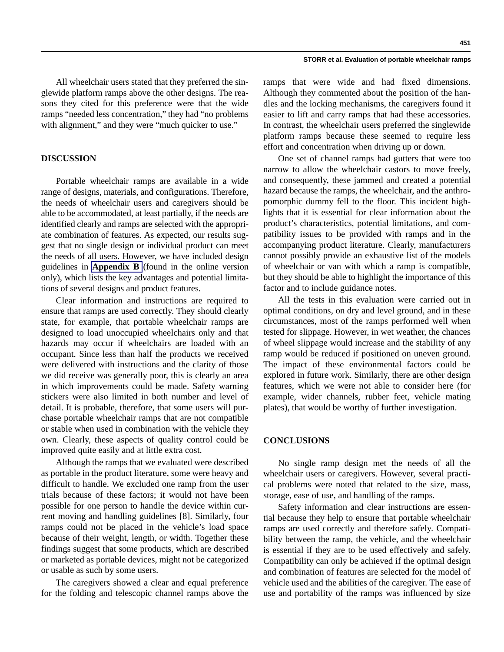#### **STORR et al. Evaluation of portable wheelchair ramps**

All wheelchair users stated that they preferred the singlewide platform ramps above the other designs. The reasons they cited for this preference were that the wide ramps "needed less concentration," they had "no problems with alignment," and they were "much quicker to use."

# **DISCUSSION**

Portable wheelchair ramps are available in a wide range of designs, materials, and configurations. Therefore, the needs of wheelchair users and caregivers should be able to be accommodated, at least partially, if the needs are identified clearly and ramps are selected with the appropriate combination of features. As expected, our results suggest that no single design or individual product can meet the needs of all users. However, we have included design guidelines in **Appendix B** (found in the online version only), which lists the key advantages and potential limitations of several designs and product features.

Clear information and instructions are required to ensure that ramps are used correctly. They should clearly state, for example, that portable wheelchair ramps are designed to load unoccupied wheelchairs only and that hazards may occur if wheelchairs are loaded with an occupant. Since less than half the products we received were delivered with instructions and the clarity of those we did receive was generally poor, this is clearly an area in which improvements could be made. Safety warning stickers were also limited in both number and level of detail. It is probable, therefore, that some users will purchase portable wheelchair ramps that are not compatible or stable when used in combination with the vehicle they own. Clearly, these aspects of quality control could be improved quite easily and at little extra cost.

Although the ramps that we evaluated were described as portable in the product literature, some were heavy and difficult to handle. We excluded one ramp from the user trials because of these factors; it would not have been possible for one person to handle the device within current moving and handling guidelines [8]. Similarly, four ramps could not be placed in the vehicle's load space because of their weight, length, or width. Together these findings suggest that some products, which are described or marketed as portable devices, might not be categorized or usable as such by some users.

The caregivers showed a clear and equal preference for the folding and telescopic channel ramps above the ramps that were wide and had fixed dimensions. Although they commented about the position of the handles and the locking mechanisms, the caregivers found it easier to lift and carry ramps that had these accessories. In contrast, the wheelchair users preferred the singlewide platform ramps because these seemed to require less effort and concentration when driving up or down.

One set of channel ramps had gutters that were too narrow to allow the wheelchair castors to move freely, and consequently, these jammed and created a potential hazard because the ramps, the wheelchair, and the anthropomorphic dummy fell to the floor. This incident highlights that it is essential for clear information about the product's characteristics, potential limitations, and compatibility issues to be provided with ramps and in the accompanying product literature. Clearly, manufacturers cannot possibly provide an exhaustive list of the models of wheelchair or van with which a ramp is compatible, but they should be able to highlight the importance of this factor and to include guidance notes.

All the tests in this evaluation were carried out in optimal conditions, on dry and level ground, and in these circumstances, most of the ramps performed well when tested for slippage. However, in wet weather, the chances of wheel slippage would increase and the stability of any ramp would be reduced if positioned on uneven ground. The impact of these environmental factors could be explored in future work. Similarly, there are other design features, which we were not able to consider here (for example, wider channels, rubber feet, vehicle mating plates), that would be worthy of further investigation.

## **CONCLUSIONS**

No single ramp design met the needs of all the wheelchair users or caregivers. However, several practical problems were noted that related to the size, mass, storage, ease of use, and handling of the ramps.

Safety information and clear instructions are essential because they help to ensure that portable wheelchair ramps are used correctly and therefore safely. Compatibility between the ramp, the vehicle, and the wheelchair is essential if they are to be used effectively and safely. Compatibility can only be achieved if the optimal design and combination of features are selected for the model of vehicle used and the abilities of the caregiver. The ease of use and portability of the ramps was influenced by size